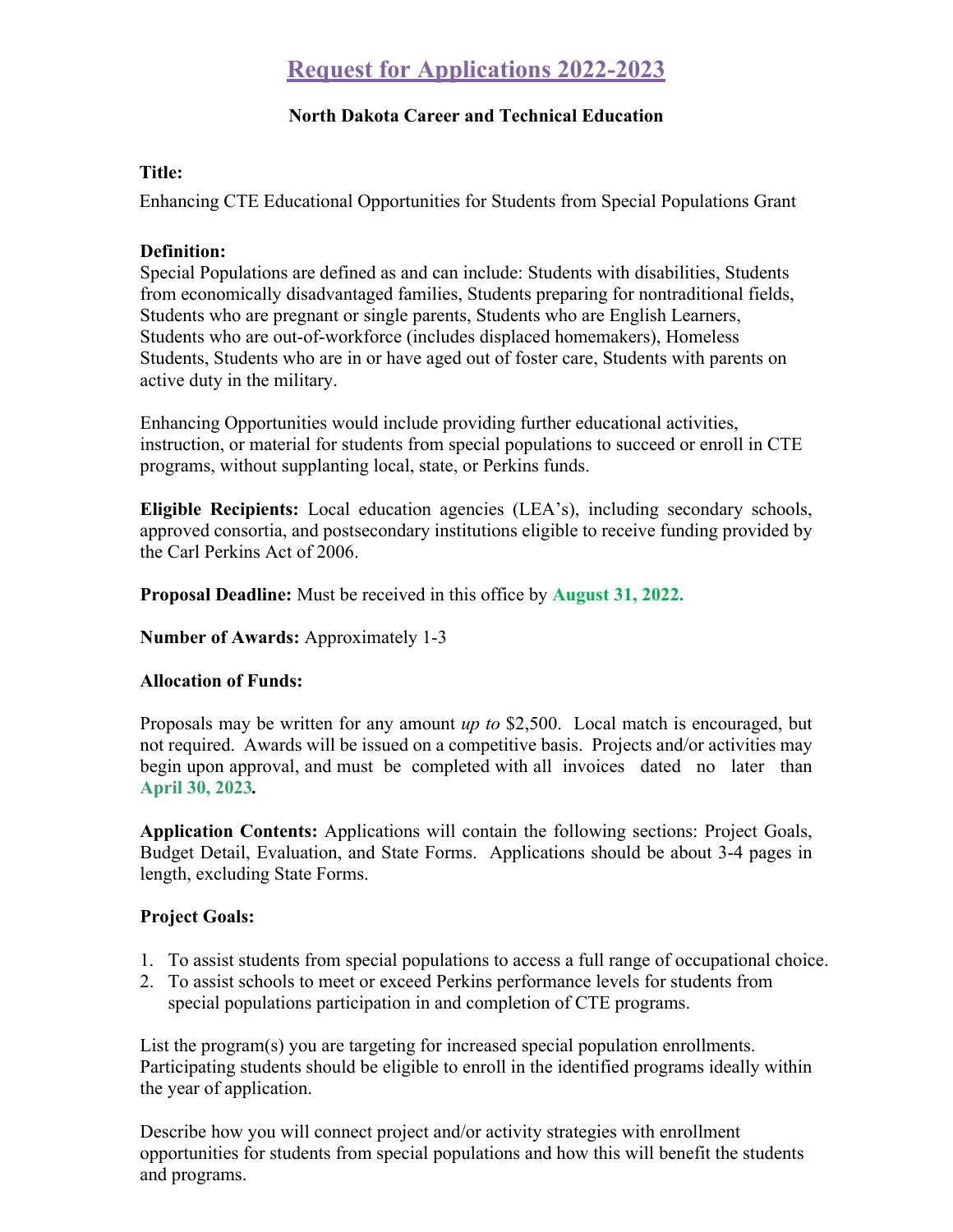# **Request for Applications 2022-2023**

# **North Dakota Career and Technical Education**

# **Title:**

Enhancing CTE Educational Opportunities for Students from Special Populations Grant

#### **Definition:**

Special Populations are defined as and can include: Students with disabilities, Students from economically disadvantaged families, Students preparing for nontraditional fields, Students who are pregnant or single parents, Students who are English Learners, Students who are out-of-workforce (includes displaced homemakers), Homeless Students, Students who are in or have aged out of foster care, Students with parents on active duty in the military.

Enhancing Opportunities would include providing further educational activities, instruction, or material for students from special populations to succeed or enroll in CTE programs, without supplanting local, state, or Perkins funds.

**Eligible Recipients:** Local education agencies (LEA's), including secondary schools, approved consortia, and postsecondary institutions eligible to receive funding provided by the Carl Perkins Act of 2006.

**Proposal Deadline:** Must be received in this office by **August 31, 2022.** 

# **Number of Awards:** Approximately 1-3

# **Allocation of Funds:**

Proposals may be written for any amount *up to* \$2,500. Local match is encouraged, but not required. Awards will be issued on a competitive basis. Projects and/or activities may begin upon approval, and must be completed with all invoices dated no later than **April 30, 2023***.*

**Application Contents:** Applications will contain the following sections: Project Goals, Budget Detail, Evaluation, and State Forms. Applications should be about 3-4 pages in length, excluding State Forms.

# **Project Goals:**

- 1. To assist students from special populations to access a full range of occupational choice.
- 2. To assist schools to meet or exceed Perkins performance levels for students from special populations participation in and completion of CTE programs.

List the program(s) you are targeting for increased special population enrollments. Participating students should be eligible to enroll in the identified programs ideally within the year of application.

Describe how you will connect project and/or activity strategies with enrollment opportunities for students from special populations and how this will benefit the students and programs.